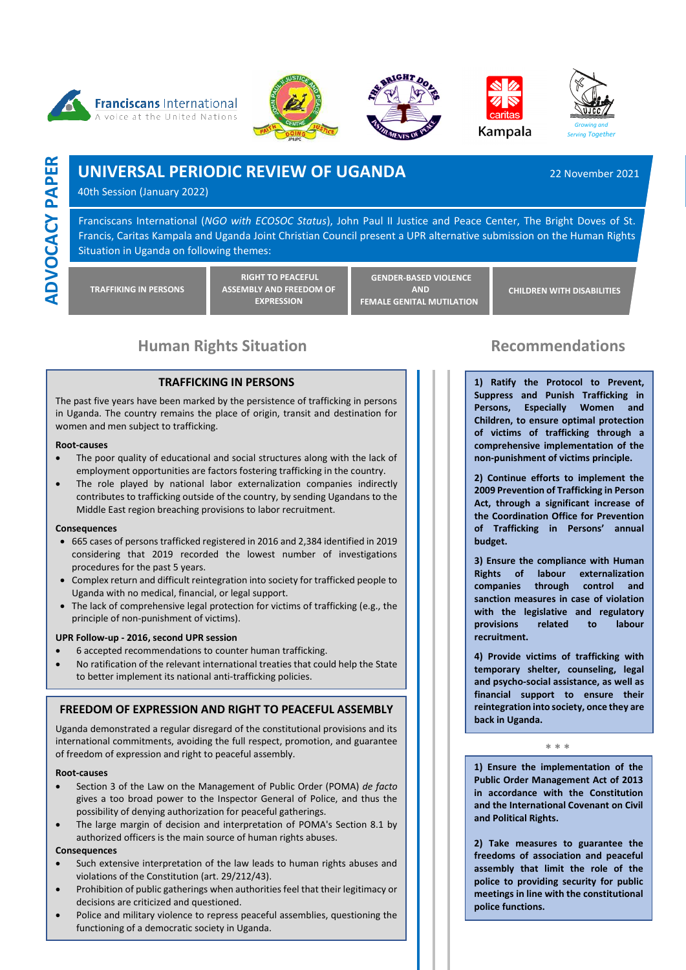









**ADVOCACY PAPER ADVOCACY PAPER**

# **UNIVERSAL PERIODIC REVIEW OF UGANDA** 22 November 2021

40th Session (January 2022)

Franciscans International (*NGO with ECOSOC Status*), John Paul II Justice and Peace Center, The Bright Doves of St. Francis, Caritas Kampala and Uganda Joint Christian Council present a UPR alternative submission on the Human Rights Situation in Uganda on following themes:

**TRAFFIKING IN PERSONS**

**RIGHT TO PEACEFUL ASSEMBLY AND FREEDOM OF EXPRESSION**

**GENDER-BASED VIOLENCE AND FEMALE GENITAL MUTILATION**

**CHILDREN WITH DISABILITIES**

# **Human Rights Situation Commendations** Recommendations

### **TRAFFICKING IN PERSONS**

The past five years have been marked by the persistence of trafficking in persons in Uganda. The country remains the place of origin, transit and destination for women and men subject to trafficking.

#### **Root-causes**

- The poor quality of educational and social structures along with the lack of employment opportunities are factors fostering trafficking in the country.
- The role played by national labor externalization companies indirectly contributes to trafficking outside of the country, by sending Ugandans to the Middle East region breaching provisions to labor recruitment.

#### **Consequences**

- 665 cases of persons trafficked registered in 2016 and 2,384 identified in 2019 considering that 2019 recorded the lowest number of investigations procedures for the past 5 years.
- Complex return and difficult reintegration into society for trafficked people to Uganda with no medical, financial, or legal support.
- The lack of comprehensive legal protection for victims of trafficking (e.g., the principle of non-punishment of victims).

### **UPR Follow-up - 2016, second UPR session**

- 6 accepted recommendations to counter human trafficking.
- No ratification of the relevant international treaties that could help the State to better implement its national anti-trafficking policies.

### **FREEDOM OF EXPRESSION AND RIGHT TO PEACEFUL ASSEMBLY**

Uganda demonstrated a regular disregard of the constitutional provisions and its international commitments, avoiding the full respect, promotion, and guarantee of freedom of expression and right to peaceful assembly.

### **Root-causes**

- Section 3 of the Law on the Management of Public Order (POMA) *de facto*  gives a too broad power to the Inspector General of Police, and thus the possibility of denying authorization for peaceful gatherings.
- The large margin of decision and interpretation of POMA's Section 8.1 by authorized officers is the main source of human rights abuses.

### **Consequences**

- Such extensive interpretation of the law leads to human rights abuses and violations of the Constitution (art. 29/212/43).
- Prohibition of public gatherings when authorities feel that their legitimacy or decisions are criticized and questioned.
- Police and military violence to repress peaceful assemblies, questioning the functioning of a democratic society in Uganda.

**1) Ratify the Protocol to Prevent, Suppress and Punish Trafficking in Persons, Especially Women and Children, to ensure optimal protection of victims of trafficking through a comprehensive implementation of the non-punishment of victims principle.** 

**2) Continue efforts to implement the 2009 Prevention of Trafficking in Person Act, through a significant increase of the Coordination Office for Prevention of Trafficking in Persons' annual budget.** 

**3) Ensure the compliance with Human Rights of labour externalization companies through control and sanction measures in case of violation with the legislative and regulatory provisions related to labour recruitment.** 

**4) Provide victims of trafficking with temporary shelter, counseling, legal and psycho-social assistance, as well as financial support to ensure their reintegration into society, once they are back in Uganda.**

**\* \* \***

**1) Ensure the implementation of the Public Order Management Act of 2013 in accordance with the Constitution and the International Covenant on Civil and Political Rights.**

**2) Take measures to guarantee the freedoms of association and peaceful assembly that limit the role of the police to providing security for public meetings in line with the constitutional police functions.**